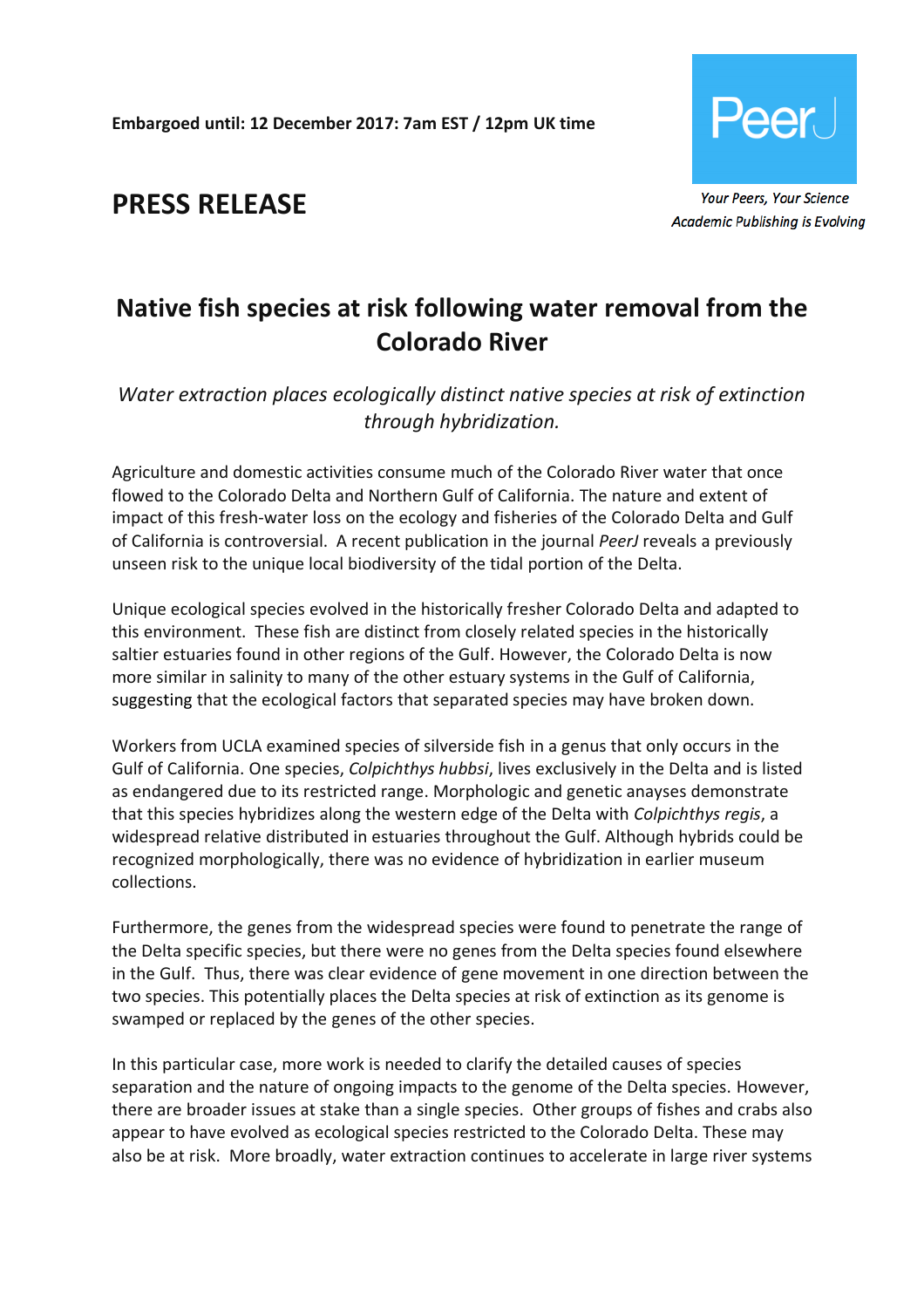**Embargoed until: 12 December 2017: 7am EST / 12pm UK time**



**PRESS RELEASE**

# **Native fish species at risk following water removal from the Colorado River**

*Water extraction places ecologically distinct native species at risk of extinction through hybridization.*

Agriculture and domestic activities consume much of the Colorado River water that once flowed to the Colorado Delta and Northern Gulf of California. The nature and extent of impact of this fresh-water loss on the ecology and fisheries of the Colorado Delta and Gulf of California is controversial. A recent publication in the journal *PeerJ* reveals a previously unseen risk to the unique local biodiversity of the tidal portion of the Delta.

Unique ecological species evolved in the historically fresher Colorado Delta and adapted to this environment. These fish are distinct from closely related species in the historically saltier estuaries found in other regions of the Gulf. However, the Colorado Delta is now more similar in salinity to many of the other estuary systems in the Gulf of California, suggesting that the ecological factors that separated species may have broken down.

Workers from UCLA examined species of silverside fish in a genus that only occurs in the Gulf of California. One species, *Colpichthys hubbsi*, lives exclusively in the Delta and is listed as endangered due to its restricted range. Morphologic and genetic anayses demonstrate that this species hybridizes along the western edge of the Delta with *Colpichthys regis*, a widespread relative distributed in estuaries throughout the Gulf. Although hybrids could be recognized morphologically, there was no evidence of hybridization in earlier museum collections.

Furthermore, the genes from the widespread species were found to penetrate the range of the Delta specific species, but there were no genes from the Delta species found elsewhere in the Gulf. Thus, there was clear evidence of gene movement in one direction between the two species. This potentially places the Delta species at risk of extinction as its genome is swamped or replaced by the genes of the other species.

In this particular case, more work is needed to clarify the detailed causes of species separation and the nature of ongoing impacts to the genome of the Delta species. However, there are broader issues at stake than a single species. Other groups of fishes and crabs also appear to have evolved as ecological species restricted to the Colorado Delta. These may also be at risk. More broadly, water extraction continues to accelerate in large river systems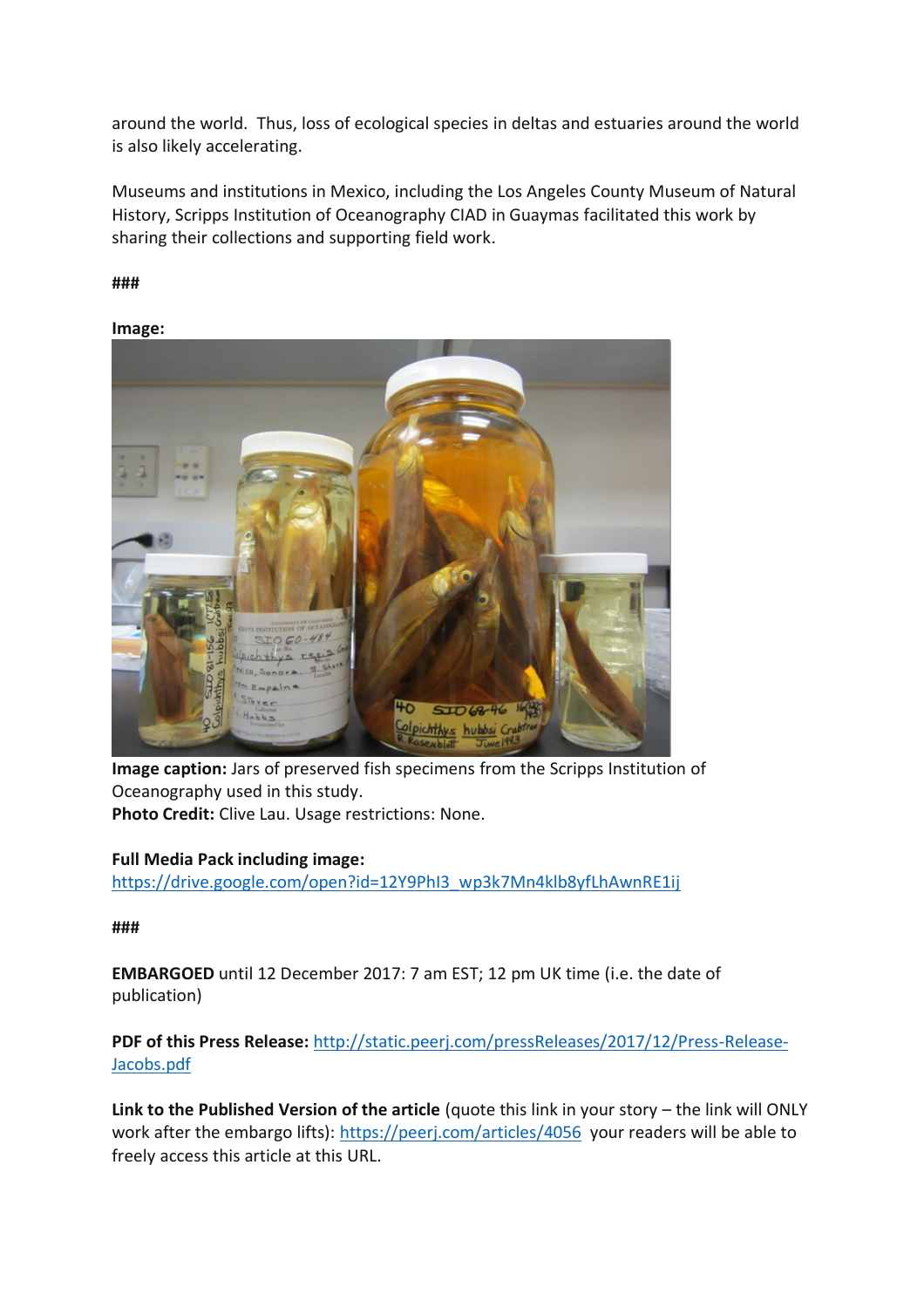around the world. Thus, loss of ecological species in deltas and estuaries around the world is also likely accelerating.

Museums and institutions in Mexico, including the Los Angeles County Museum of Natural History, Scripps Institution of Oceanography CIAD in Guaymas facilitated this work by sharing their collections and supporting field work.

**###**

**Image:**



**Image caption:** Jars of preserved fish specimens from the Scripps Institution of Oceanography used in this study.

**Photo Credit:** Clive Lau. Usage restrictions: None.

# **Full Media Pack including image:**

[https://drive.google.com/open?id=12Y9PhI3\\_wp3k7Mn4klb8yfLhAwnRE1ij](https://drive.google.com/open?id=12Y9PhI3_wp3k7Mn4klb8yfLhAwnRE1ij)

**###**

**EMBARGOED** until 12 December 2017: 7 am EST; 12 pm UK time (i.e. the date of publication)

**PDF of this Press Release:** [http://static.peerj.com/pressReleases/2017/12/Press-Release-](http://static.peerj.com/pressReleases/2017/12/Press-Release-Jacobs.pdf)[Jacobs.pdf](http://static.peerj.com/pressReleases/2017/12/Press-Release-Jacobs.pdf)

**Link to the Published Version of the article** (quote this link in your story – the link will ONLY work after the embargo lifts): <https://peerj.com/articles/4056> your readers will be able to freely access this article at this URL.